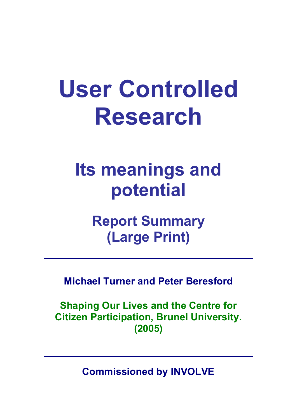# **User Controlled Research**

## **Its meanings and potential**

**Report Summary (Large Print)** 

**Michael Turner and Peter Beresford** 

**Shaping Our Lives and the Centre for Citizen Participation, Brunel University. (2005)** 

**Commissioned by INVOLVE**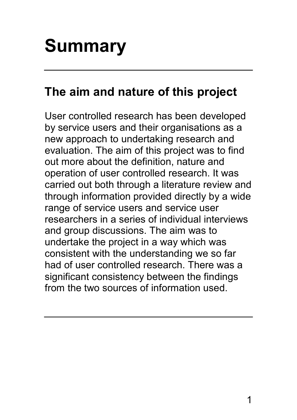## **Summary**

## **The aim and nature of this project**

User controlled research has been developed by service users and their organisations as a new approach to undertaking research and evaluation. The aim of this project was to find out more about the definition, nature and operation of user controlled research. It was carried out both through a literature review and through information provided directly by a wide range of service users and service user researchers in a series of individual interviews and group discussions. The aim was to undertake the project in a way which was consistent with the understanding we so far had of user controlled research. There was a significant consistency between the findings from the two sources of information used.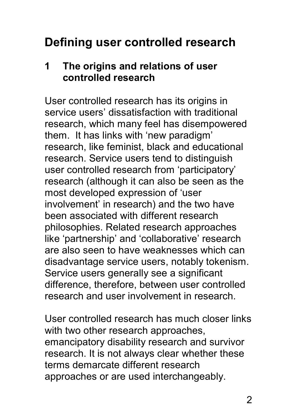## **Defining user controlled research**

#### **1 The origins and relations of user controlled research**

User controlled research has its origins in service users' dissatisfaction with traditional research, which many feel has disempowered them. It has links with 'new paradigm' research, like feminist, black and educational research. Service users tend to distinguish user controlled research from 'participatory' research (although it can also be seen as the most developed expression of 'user involvement' in research) and the two have been associated with different research philosophies. Related research approaches like 'partnership' and 'collaborative' research are also seen to have weaknesses which can disadvantage service users, notably tokenism. Service users generally see a significant difference, therefore, between user controlled research and user involvement in research.

User controlled research has much closer links with two other research approaches, emancipatory disability research and survivor research. It is not always clear whether these terms demarcate different research approaches or are used interchangeably.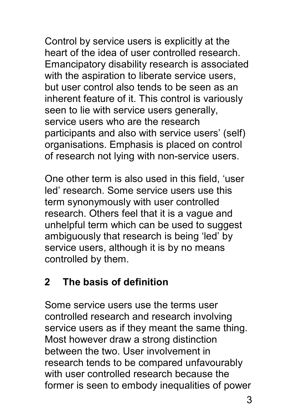Control by service users is explicitly at the heart of the idea of user controlled research. Emancipatory disability research is associated with the aspiration to liberate service users, but user control also tends to be seen as an inherent feature of it. This control is variously seen to lie with service users generally, service users who are the research participants and also with service users' (self) organisations. Emphasis is placed on control of research not lying with non-service users.

One other term is also used in this field, 'user led' research. Some service users use this term synonymously with user controlled research. Others feel that it is a vague and unhelpful term which can be used to suggest ambiguously that research is being 'led' by service users, although it is by no means controlled by them.

#### **2 The basis of definition**

Some service users use the terms user controlled research and research involving service users as if they meant the same thing. Most however draw a strong distinction between the two. User involvement in research tends to be compared unfavourably with user controlled research because the former is seen to embody inequalities of power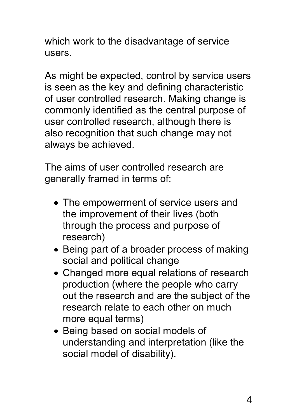which work to the disadvantage of service users.

As might be expected, control by service users is seen as the key and defining characteristic of user controlled research. Making change is commonly identified as the central purpose of user controlled research, although there is also recognition that such change may not always be achieved.

The aims of user controlled research are generally framed in terms of:

- · The empowerment of service users and the improvement of their lives (both through the process and purpose of research)
- Being part of a broader process of making social and political change
- · Changed more equal relations of research production (where the people who carry out the research and are the subject of the research relate to each other on much more equal terms)
- · Being based on social models of understanding and interpretation (like the social model of disability).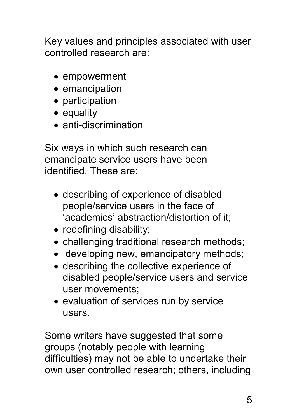Key values and principles associated with user controlled research are:

- · empowerment
- · emancipation
- participation
- · equality
- $\bullet$  anti-discrimination

Six ways in which such research can emancipate service users have been identified. These are:

- · describing of experience of disabled people/service users in the face of 'academics' abstraction/distortion of it;
- redefining disability;
- · challenging traditional research methods;
- · developing new, emancipatory methods;
- · describing the collective experience of disabled people/service users and service user movements;
- · evaluation of services run by service users.

Some writers have suggested that some groups (notably people with learning difficulties) may not be able to undertake their own user controlled research; others, including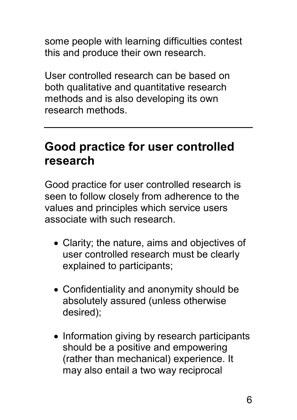some people with learning difficulties contest this and produce their own research.

User controlled research can be based on both qualitative and quantitative research methods and is also developing its own research methods.

## **Good practice for user controlled research**

Good practice for user controlled research is seen to follow closely from adherence to the values and principles which service users associate with such research.

- · Clarity; the nature, aims and objectives of user controlled research must be clearly explained to participants;
- · Confidentiality and anonymity should be absolutely assured (unless otherwise desired);
- Information giving by research participants should be a positive and empowering (rather than mechanical) experience. It may also entail a two way reciprocal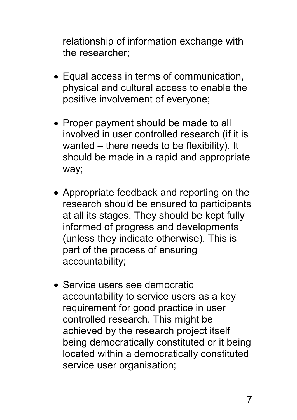relationship of information exchange with the researcher;

- · Equal access in terms of communication, physical and cultural access to enable the positive involvement of everyone;
- · Proper payment should be made to all involved in user controlled research (if it is wanted – there needs to be flexibility). It should be made in a rapid and appropriate way;
- · Appropriate feedback and reporting on the research should be ensured to participants at all its stages. They should be kept fully informed of progress and developments (unless they indicate otherwise). This is part of the process of ensuring accountability;
- Service users see democratic accountability to service users as a key requirement for good practice in user controlled research. This might be achieved by the research project itself being democratically constituted or it being located within a democratically constituted service user organisation;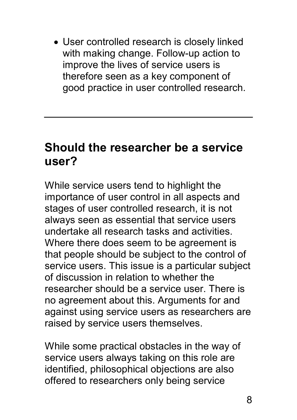· User controlled research is closely linked with making change. Follow-up action to improve the lives of service users is therefore seen as a key component of good practice in user controlled research.

#### **Should the researcher be a service user?**

While service users tend to highlight the importance of user control in all aspects and stages of user controlled research, it is not always seen as essential that service users undertake all research tasks and activities. Where there does seem to be agreement is that people should be subject to the control of service users. This issue is a particular subject of discussion in relation to whether the researcher should be a service user. There is no agreement about this. Arguments for and against using service users as researchers are raised by service users themselves.

While some practical obstacles in the way of service users always taking on this role are identified, philosophical objections are also offered to researchers only being service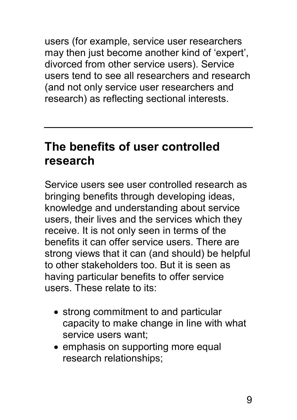users (for example, service user researchers may then just become another kind of 'expert' , divorced from other service users). Service users tend to see all researchers and research (and not only service user researchers and research) as reflecting sectional interests.

## **The benefits of user controlled research**

Service users see user controlled research as bringing benefits through developing ideas, knowledge and understanding about service users, their lives and the services which they receive. It is not only seen in terms of the benefits it can offer service users. There are strong views that it can (and should) be helpful to other stakeholders too. But it is seen as having particular benefits to offer service users. These relate to its:

- · strong commitment to and particular capacity to make change in line with what service users want;
- emphasis on supporting more equal research relationships;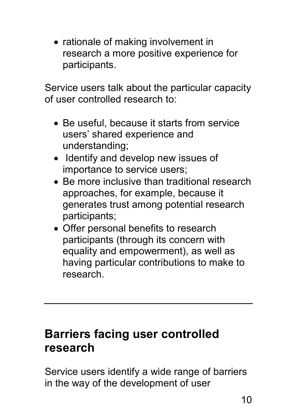• rationale of making involvement in research a more positive experience for participants.

Service users talk about the particular capacity of user controlled research to:

- · Be useful, because it starts from service users' shared experience and understanding;
- · Identify and develop new issues of importance to service users;
- Be more inclusive than traditional research approaches, for example, because it generates trust among potential research participants;
- · Offer personal benefits to research participants (through its concern with equality and empowerment), as well as having particular contributions to make to research.

### **Barriers facing user controlled research**

Service users identify a wide range of barriers in the way of the development of user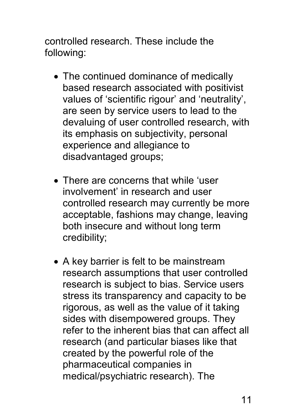controlled research. These include the following:

- · The continued dominance of medically based research associated with positivist values of 'scientific rigour' and 'neutrality' , are seen by service users to lead to the devaluing of user controlled research, with its emphasis on subjectivity, personal experience and allegiance to disadvantaged groups;
- · There are concerns that while 'user involvement' in research and user controlled research may currently be more acceptable, fashions may change, leaving both insecure and without long term credibility;
- · A key barrier is felt to be mainstream research assumptions that user controlled research is subject to bias. Service users stress its transparency and capacity to be rigorous, as well as the value of it taking sides with disempowered groups. They refer to the inherent bias that can affect all research (and particular biases like that created by the powerful role of the pharmaceutical companies in medical/psychiatric research). The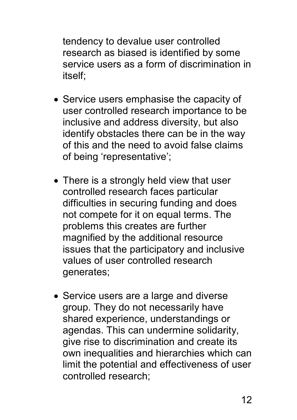tendency to devalue user controlled research as biased is identified by some service users as a form of discrimination in itself;

- · Service users emphasise the capacity of user controlled research importance to be inclusive and address diversity, but also identify obstacles there can be in the way of this and the need to avoid false claims of being 'representative';
- There is a strongly held view that user controlled research faces particular difficulties in securing funding and does not compete for it on equal terms. The problems this creates are further magnified by the additional resource issues that the participatory and inclusive values of user controlled research generates;
- Service users are a large and diverse group. They do not necessarily have shared experience, understandings or agendas. This can undermine solidarity, give rise to discrimination and create its own inequalities and hierarchies which can limit the potential and effectiveness of user controlled research;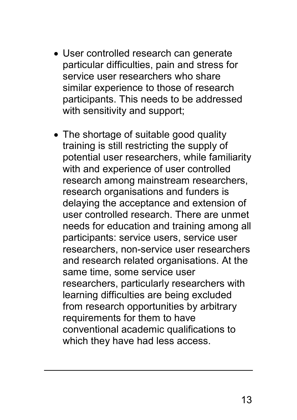- · User controlled research can generate particular difficulties, pain and stress for service user researchers who share similar experience to those of research participants. This needs to be addressed with sensitivity and support;
- The shortage of suitable good quality training is still restricting the supply of potential user researchers, while familiarity with and experience of user controlled research among mainstream researchers, research organisations and funders is delaying the acceptance and extension of user controlled research. There are unmet needs for education and training among all participants: service users, service user researchers, non-service user researchers and research related organisations. At the same time, some service user researchers, particularly researchers with learning difficulties are being excluded from research opportunities by arbitrary requirements for them to have conventional academic qualifications to which they have had less access.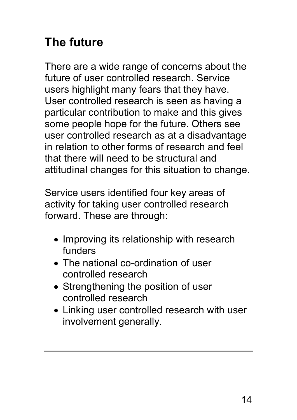## **The future**

There are a wide range of concerns about the future of user controlled research. Service users highlight many fears that they have. User controlled research is seen as having a particular contribution to make and this gives some people hope for the future. Others see user controlled research as at a disadvantage in relation to other forms of research and feel that there will need to be structural and attitudinal changes for this situation to change.

Service users identified four key areas of activity for taking user controlled research forward. These are through:

- Improving its relationship with research funders
- The national co-ordination of user controlled research
- Strengthening the position of user controlled research
- Linking user controlled research with user involvement generally.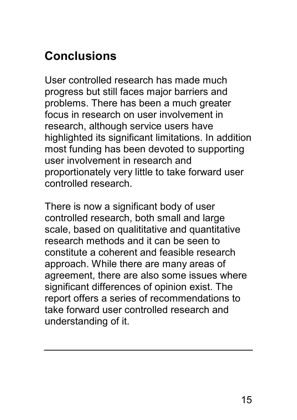## **Conclusions**

User controlled research has made much progress but still faces major barriers and problems. There has been a much greater focus in research on user involvement in research, although service users have highlighted its significant limitations. In addition most funding has been devoted to supporting user involvement in research and proportionately very little to take forward user controlled research.

There is now a significant body of user controlled research, both small and large scale, based on qualititative and quantitative research methods and it can be seen to constitute a coherent and feasible research approach. While there are many areas of agreement, there are also some issues where significant differences of opinion exist. The report offers a series of recommendations to take forward user controlled research and understanding of it.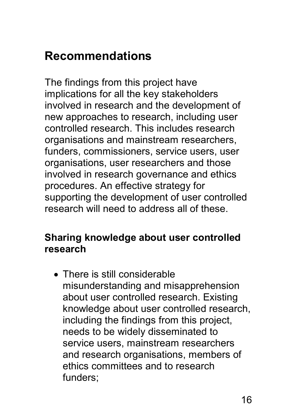## **Recommendations**

The findings from this project have implications for all the key stakeholders involved in research and the development of new approaches to research, including user controlled research. This includes research organisations and mainstream researchers, funders, commissioners, service users, user organisations, user researchers and those involved in research governance and ethics procedures. An effective strategy for supporting the development of user controlled research will need to address all of these.

#### **Sharing knowledge about user controlled research**

• There is still considerable misunderstanding and misapprehension about user controlled research. Existing knowledge about user controlled research, including the findings from this project, needs to be widely disseminated to service users, mainstream researchers and research organisations, members of ethics committees and to research funders;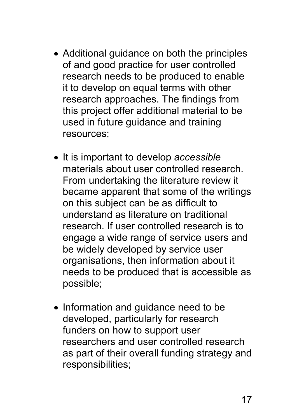- Additional guidance on both the principles of and good practice for user controlled research needs to be produced to enable it to develop on equal terms with other research approaches. The findings from this project offer additional material to be used in future guidance and training resources;
- · It is important to develop *accessible* materials about user controlled research. From undertaking the literature review it became apparent that some of the writings on this subject can be as difficult to understand as literature on traditional research. If user controlled research is to engage a wide range of service users and be widely developed by service user organisations, then information about it needs to be produced that is accessible as possible;
- Information and guidance need to be developed, particularly for research funders on how to support user researchers and user controlled research as part of their overall funding strategy and responsibilities;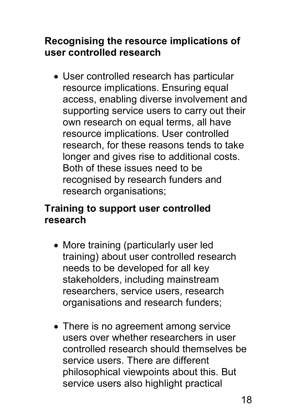#### **Recognising the resource implications of user controlled research**

· User controlled research has particular resource implications. Ensuring equal access, enabling diverse involvement and supporting service users to carry out their own research on equal terms, all have resource implications. User controlled research, for these reasons tends to take longer and gives rise to additional costs. Both of these issues need to be recognised by research funders and research organisations;

#### **Training to support user controlled research**

- · More training (particularly user led training) about user controlled research needs to be developed for all key stakeholders, including mainstream researchers, service users, research organisations and research funders;
- There is no agreement among service users over whether researchers in user controlled research should themselves be service users. There are different philosophical viewpoints about this. But service users also highlight practical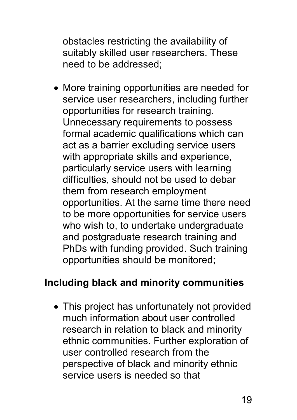obstacles restricting the availability of suitably skilled user researchers. These need to be addressed;

· More training opportunities are needed for service user researchers, including further opportunities for research training. Unnecessary requirements to possess formal academic qualifications which can act as a barrier excluding service users with appropriate skills and experience, particularly service users with learning difficulties, should not be used to debar them from research employment opportunities. At the same time there need to be more opportunities for service users who wish to, to undertake undergraduate and postgraduate research training and PhDs with funding provided. Such training opportunities should be monitored;

#### **Including black and minority communities**

· This project has unfortunately not provided much information about user controlled research in relation to black and minority ethnic communities. Further exploration of user controlled research from the perspective of black and minority ethnic service users is needed so that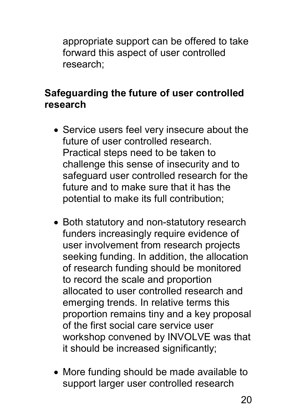appropriate support can be offered to take forward this aspect of user controlled research;

#### **Safeguarding the future of user controlled research**

- · Service users feel very insecure about the future of user controlled research. Practical steps need to be taken to challenge this sense of insecurity and to safeguard user controlled research for the future and to make sure that it has the potential to make its full contribution;
- Both statutory and non-statutory research funders increasingly require evidence of user involvement from research projects seeking funding. In addition, the allocation of research funding should be monitored to record the scale and proportion allocated to user controlled research and emerging trends. In relative terms this proportion remains tiny and a key proposal of the first social care service user workshop convened by INVOLVE was that it should be increased significantly;
- · More funding should be made available to support larger user controlled research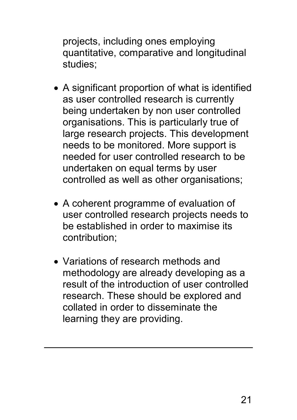projects, including ones employing quantitative, comparative and longitudinal studies;

- · A significant proportion of what is identified as user controlled research is currently being undertaken by non user controlled organisations. This is particularly true of large research projects. This development needs to be monitored. More support is needed for user controlled research to be undertaken on equal terms by user controlled as well as other organisations;
- · A coherent programme of evaluation of user controlled research projects needs to be established in order to maximise its contribution;
- · Variations of research methods and methodology are already developing as a result of the introduction of user controlled research. These should be explored and collated in order to disseminate the learning they are providing.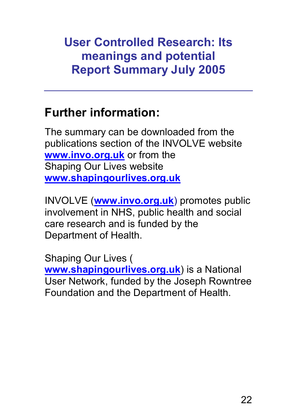**User Controlled Research: Its meanings and potential Report Summary July 2005**

### **Further information:**

The summary can be downloaded from the publications section of the INVOLVE website **[www.invo.org.uk](http://www.invo.org.uk/)** or from the Shaping Our Lives website **[www.shapingourlives.org.uk](http://www.shapingourlives.org.uk/)**

INVOLVE (**[www.invo.org.uk](http://www.invo.org.uk/)**) promotes public involvement in NHS, public health and social care research and is funded by the Department of Health.

Shaping Our Lives ( **[www.shapingourlives.org.uk](http://www.shapingourlives.org.uk/)**) is a National User Network, funded by the Joseph Rowntree Foundation and the Department of Health.